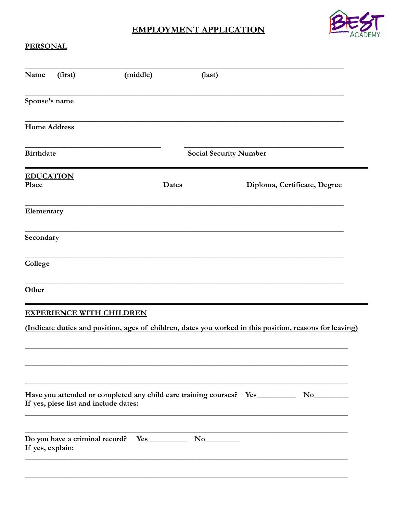## **EMPLOYMENT APPLICATION**



## **PERSONAL**

| Name                      | (first)                               | (middle) | (last)                                                                      |                                                                                                          |  |  |  |
|---------------------------|---------------------------------------|----------|-----------------------------------------------------------------------------|----------------------------------------------------------------------------------------------------------|--|--|--|
| Spouse's name             |                                       |          |                                                                             |                                                                                                          |  |  |  |
| <b>Home Address</b>       |                                       |          |                                                                             |                                                                                                          |  |  |  |
| <b>Birthdate</b>          |                                       |          | <b>Social Security Number</b>                                               |                                                                                                          |  |  |  |
| <b>EDUCATION</b><br>Place |                                       |          | <b>Dates</b>                                                                | Diploma, Certificate, Degree                                                                             |  |  |  |
| Elementary                |                                       |          |                                                                             |                                                                                                          |  |  |  |
| Secondary                 |                                       |          |                                                                             |                                                                                                          |  |  |  |
| College                   |                                       |          |                                                                             |                                                                                                          |  |  |  |
| Other                     |                                       |          |                                                                             |                                                                                                          |  |  |  |
|                           | <b>EXPERIENCE WITH CHILDREN</b>       |          |                                                                             |                                                                                                          |  |  |  |
|                           |                                       |          |                                                                             | (Indicate duties and position, ages of children, dates you worked in this position, reasons for leaving) |  |  |  |
|                           |                                       |          |                                                                             |                                                                                                          |  |  |  |
|                           | If yes, plese list and include dates: |          | Have you attended or completed any child care training courses? Yes________ |                                                                                                          |  |  |  |
| If yes, explain:          | Do you have a criminal record?        |          | $Yes$ No $No$                                                               |                                                                                                          |  |  |  |
|                           |                                       |          |                                                                             |                                                                                                          |  |  |  |